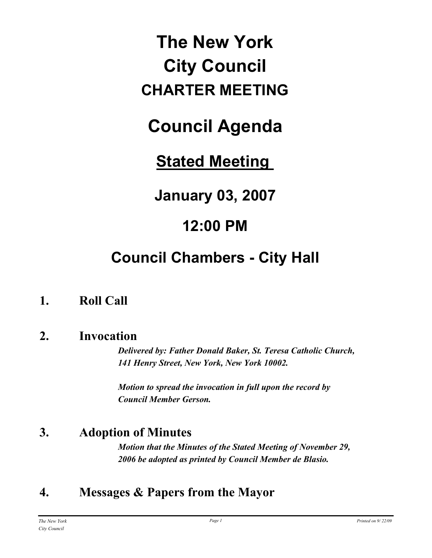# **The New York City Council CHARTER MEETING**

# **Council Agenda**

# **Stated Meeting**

**January 03, 2007**

# **12:00 PM**

# **Council Chambers - City Hall**

# **1. Roll Call**

### **2. Invocation**

*Delivered by: Father Donald Baker, St. Teresa Catholic Church, 141 Henry Street, New York, New York 10002.*

*Motion to spread the invocation in full upon the record by Council Member Gerson.*

# **3. Adoption of Minutes**

*Motion that the Minutes of the Stated Meeting of November 29, 2006 be adopted as printed by Council Member de Blasio.*

# **4. Messages & Papers from the Mayor**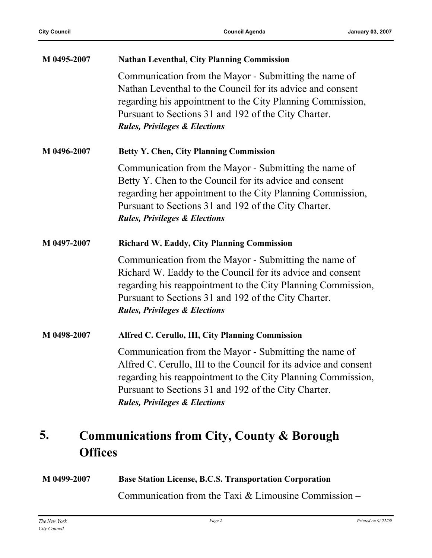| M 0495-2007 | <b>Nathan Leventhal, City Planning Commission</b>                                                                                                                                                                                                                                             |
|-------------|-----------------------------------------------------------------------------------------------------------------------------------------------------------------------------------------------------------------------------------------------------------------------------------------------|
|             | Communication from the Mayor - Submitting the name of<br>Nathan Leventhal to the Council for its advice and consent<br>regarding his appointment to the City Planning Commission,<br>Pursuant to Sections 31 and 192 of the City Charter.<br><b>Rules, Privileges &amp; Elections</b>         |
| M 0496-2007 | <b>Betty Y. Chen, City Planning Commission</b>                                                                                                                                                                                                                                                |
|             | Communication from the Mayor - Submitting the name of<br>Betty Y. Chen to the Council for its advice and consent<br>regarding her appointment to the City Planning Commission,<br>Pursuant to Sections 31 and 192 of the City Charter.<br><b>Rules, Privileges &amp; Elections</b>            |
| M 0497-2007 | <b>Richard W. Eaddy, City Planning Commission</b>                                                                                                                                                                                                                                             |
|             | Communication from the Mayor - Submitting the name of<br>Richard W. Eaddy to the Council for its advice and consent<br>regarding his reappointment to the City Planning Commission,<br>Pursuant to Sections 31 and 192 of the City Charter.<br><b>Rules, Privileges &amp; Elections</b>       |
| M 0498-2007 | Alfred C. Cerullo, III, City Planning Commission                                                                                                                                                                                                                                              |
|             | Communication from the Mayor - Submitting the name of<br>Alfred C. Cerullo, III to the Council for its advice and consent<br>regarding his reappointment to the City Planning Commission,<br>Pursuant to Sections 31 and 192 of the City Charter.<br><b>Rules, Privileges &amp; Elections</b> |

#### **Communications from City, County & Borough Offices 5.**

| M 0499-2007 | <b>Base Station License, B.C.S. Transportation Corporation</b> |
|-------------|----------------------------------------------------------------|
|             | Communication from the Taxi $&$ Limousine Commission –         |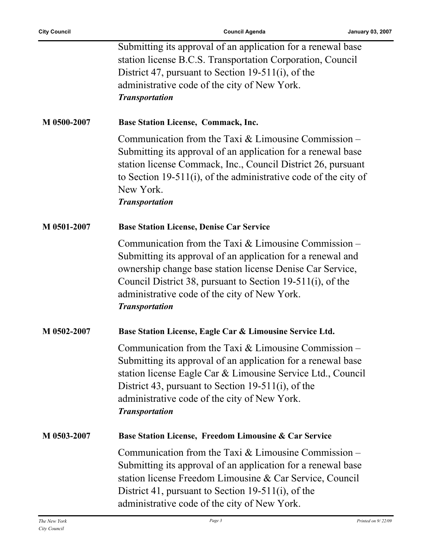÷,

|             | Submitting its approval of an application for a renewal base<br>station license B.C.S. Transportation Corporation, Council<br>District 47, pursuant to Section 19-511(i), of the<br>administrative code of the city of New York.<br><b>Transportation</b>                                                                 |
|-------------|---------------------------------------------------------------------------------------------------------------------------------------------------------------------------------------------------------------------------------------------------------------------------------------------------------------------------|
| M 0500-2007 | <b>Base Station License, Commack, Inc.</b>                                                                                                                                                                                                                                                                                |
|             | Communication from the Taxi $&$ Limousine Commission –<br>Submitting its approval of an application for a renewal base<br>station license Commack, Inc., Council District 26, pursuant<br>to Section 19-511(i), of the administrative code of the city of<br>New York.<br><b>Transportation</b>                           |
| M 0501-2007 | <b>Base Station License, Denise Car Service</b>                                                                                                                                                                                                                                                                           |
|             | Communication from the Taxi $&$ Limousine Commission –<br>Submitting its approval of an application for a renewal and<br>ownership change base station license Denise Car Service,<br>Council District 38, pursuant to Section 19-511(i), of the<br>administrative code of the city of New York.<br><b>Transportation</b> |
| M 0502-2007 | Base Station License, Eagle Car & Limousine Service Ltd.                                                                                                                                                                                                                                                                  |
|             | Communication from the Taxi $&$ Limousine Commission –<br>Submitting its approval of an application for a renewal base<br>station license Eagle Car & Limousine Service Ltd., Council<br>District 43, pursuant to Section 19-511(i), of the<br>administrative code of the city of New York.<br><b>Transportation</b>      |
| M 0503-2007 | Base Station License, Freedom Limousine & Car Service                                                                                                                                                                                                                                                                     |
|             | Communication from the Taxi $&$ Limousine Commission –<br>Submitting its approval of an application for a renewal base<br>station license Freedom Limousine & Car Service, Council<br>District 41, pursuant to Section 19-511(i), of the<br>administrative code of the city of New York.                                  |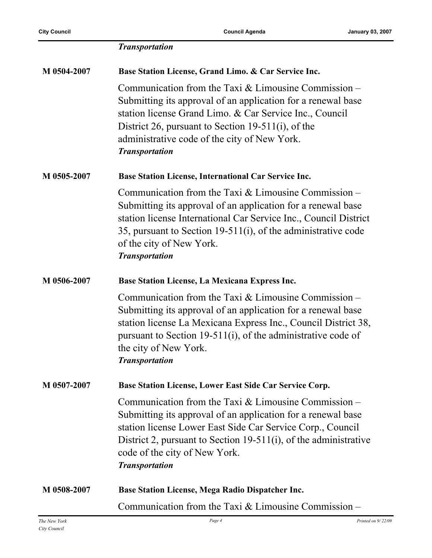|             | <b>Transportation</b>                                                                                                                                                                                                                                                                                              |
|-------------|--------------------------------------------------------------------------------------------------------------------------------------------------------------------------------------------------------------------------------------------------------------------------------------------------------------------|
| M 0504-2007 | Base Station License, Grand Limo. & Car Service Inc.                                                                                                                                                                                                                                                               |
|             | Communication from the Taxi $&$ Limousine Commission –<br>Submitting its approval of an application for a renewal base<br>station license Grand Limo. & Car Service Inc., Council<br>District 26, pursuant to Section 19-511(i), of the<br>administrative code of the city of New York.<br><b>Transportation</b>   |
| M 0505-2007 | Base Station License, International Car Service Inc.                                                                                                                                                                                                                                                               |
|             | Communication from the Taxi $&$ Limousine Commission –<br>Submitting its approval of an application for a renewal base<br>station license International Car Service Inc., Council District<br>35, pursuant to Section 19-511(i), of the administrative code<br>of the city of New York.<br><b>Transportation</b>   |
| M 0506-2007 | Base Station License, La Mexicana Express Inc.                                                                                                                                                                                                                                                                     |
|             | Communication from the Taxi $&$ Limousine Commission –<br>Submitting its approval of an application for a renewal base<br>station license La Mexicana Express Inc., Council District 38,<br>pursuant to Section 19-511(i), of the administrative code of<br>the city of New York.<br><b>Transportation</b>         |
| M 0507-2007 | Base Station License, Lower East Side Car Service Corp.                                                                                                                                                                                                                                                            |
|             | Communication from the Taxi $&$ Limousine Commission –<br>Submitting its approval of an application for a renewal base<br>station license Lower East Side Car Service Corp., Council<br>District 2, pursuant to Section 19-511(i), of the administrative<br>code of the city of New York.<br><b>Transportation</b> |
| M 0508-2007 | <b>Base Station License, Mega Radio Dispatcher Inc.</b>                                                                                                                                                                                                                                                            |
|             | Communication from the Taxi $&$ Limousine Commission –                                                                                                                                                                                                                                                             |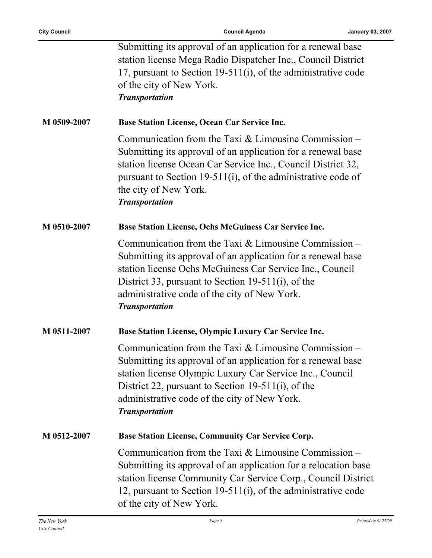ř.

|             | Submitting its approval of an application for a renewal base<br>station license Mega Radio Dispatcher Inc., Council District<br>17, pursuant to Section 19-511(i), of the administrative code<br>of the city of New York.<br><b>Transportation</b>                                                                |
|-------------|-------------------------------------------------------------------------------------------------------------------------------------------------------------------------------------------------------------------------------------------------------------------------------------------------------------------|
| M 0509-2007 | <b>Base Station License, Ocean Car Service Inc.</b>                                                                                                                                                                                                                                                               |
|             | Communication from the Taxi $&$ Limousine Commission –<br>Submitting its approval of an application for a renewal base<br>station license Ocean Car Service Inc., Council District 32,<br>pursuant to Section 19-511(i), of the administrative code of<br>the city of New York.<br><b>Transportation</b>          |
| M 0510-2007 | Base Station License, Ochs McGuiness Car Service Inc.                                                                                                                                                                                                                                                             |
|             | Communication from the Taxi $&$ Limousine Commission –<br>Submitting its approval of an application for a renewal base<br>station license Ochs McGuiness Car Service Inc., Council<br>District 33, pursuant to Section 19-511(i), of the<br>administrative code of the city of New York.<br><b>Transportation</b> |
| M 0511-2007 | Base Station License, Olympic Luxury Car Service Inc.                                                                                                                                                                                                                                                             |
|             | Communication from the Taxi $&$ Limousine Commission –<br>Submitting its approval of an application for a renewal base<br>station license Olympic Luxury Car Service Inc., Council<br>District 22, pursuant to Section 19-511(i), of the<br>administrative code of the city of New York.<br><b>Transportation</b> |
| M 0512-2007 | <b>Base Station License, Community Car Service Corp.</b>                                                                                                                                                                                                                                                          |
|             | Communication from the Taxi & Limousine Commission -<br>Submitting its approval of an application for a relocation base<br>station license Community Car Service Corp., Council District<br>12, pursuant to Section 19-511(i), of the administrative code<br>of the city of New York.                             |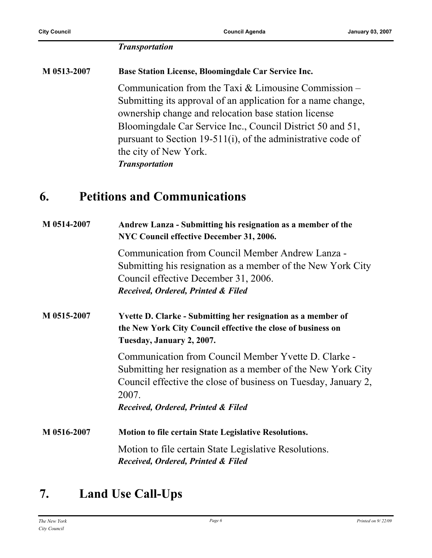#### *Transportation*

**M 0513-2007 Base Station License, Bloomingdale Car Service Inc.** Communication from the Taxi & Limousine Commission – Submitting its approval of an application for a name change, ownership change and relocation base station license Bloomingdale Car Service Inc., Council District 50 and 51, pursuant to Section 19-511(i), of the administrative code of the city of New York. *Transportation*

### **6. Petitions and Communications**

| M 0514-2007 | Andrew Lanza - Submitting his resignation as a member of the<br>NYC Council effective December 31, 2006.                                                                                                                             |
|-------------|--------------------------------------------------------------------------------------------------------------------------------------------------------------------------------------------------------------------------------------|
|             | Communication from Council Member Andrew Lanza -<br>Submitting his resignation as a member of the New York City<br>Council effective December 31, 2006.<br>Received, Ordered, Printed & Filed                                        |
| M 0515-2007 | <b>Yvette D. Clarke - Submitting her resignation as a member of</b><br>the New York City Council effective the close of business on<br>Tuesday, January 2, 2007.                                                                     |
|             | Communication from Council Member Yvette D. Clarke -<br>Submitting her resignation as a member of the New York City<br>Council effective the close of business on Tuesday, January 2,<br>2007.<br>Received, Ordered, Printed & Filed |
| M 0516-2007 | <b>Motion to file certain State Legislative Resolutions.</b>                                                                                                                                                                         |
|             | Motion to file certain State Legislative Resolutions.<br>Received, Ordered, Printed & Filed                                                                                                                                          |

# **7. Land Use Call-Ups**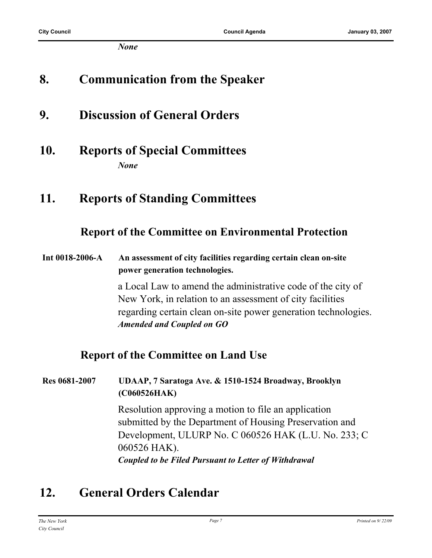*None*

## **8. Communication from the Speaker**

- **9. Discussion of General Orders**
- **10. Reports of Special Committees** *None*

### **11. Reports of Standing Committees**

#### **Report of the Committee on Environmental Protection**

**Int 0018-2006-A An assessment of city facilities regarding certain clean on-site power generation technologies.**

> a Local Law to amend the administrative code of the city of New York, in relation to an assessment of city facilities regarding certain clean on-site power generation technologies. *Amended and Coupled on GO*

#### **Report of the Committee on Land Use**

**Res 0681-2007 UDAAP, 7 Saratoga Ave. & 1510-1524 Broadway, Brooklyn (C060526HAK)**

> Resolution approving a motion to file an application submitted by the Department of Housing Preservation and Development, ULURP No. C 060526 HAK (L.U. No. 233; C 060526 HAK).

*Coupled to be Filed Pursuant to Letter of Withdrawal*

# **12. General Orders Calendar**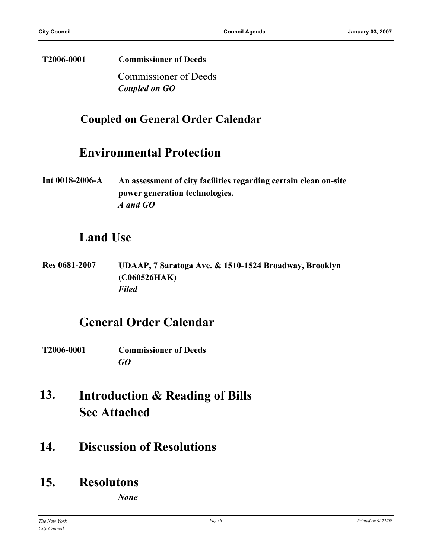#### **T2006-0001 Commissioner of Deeds**

Commissioner of Deeds *Coupled on GO*

#### **Coupled on General Order Calendar**

#### **Environmental Protection**

**Int 0018-2006-A An assessment of city facilities regarding certain clean on-site power generation technologies.** *A and GO*

### **Land Use**

**Res 0681-2007 UDAAP, 7 Saratoga Ave. & 1510-1524 Broadway, Brooklyn (C060526HAK)** *Filed*

#### **General Order Calendar**

- **T2006-0001 Commissioner of Deeds** *GO*
- **Introduction & Reading of Bills See Attached 13.**
- **14. Discussion of Resolutions**

## **15. Resolutons**

*None*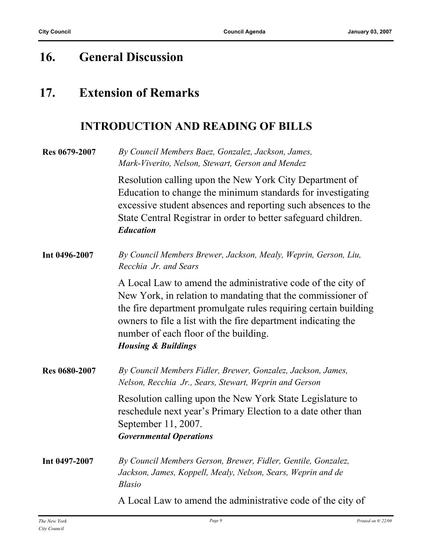# **16. General Discussion**

# **17. Extension of Remarks**

### **INTRODUCTION AND READING OF BILLS**

| Res 0679-2007 | By Council Members Baez, Gonzalez, Jackson, James,<br>Mark-Viverito, Nelson, Stewart, Gerson and Mendez                                                                                                                                                                                                                                   |
|---------------|-------------------------------------------------------------------------------------------------------------------------------------------------------------------------------------------------------------------------------------------------------------------------------------------------------------------------------------------|
|               | Resolution calling upon the New York City Department of<br>Education to change the minimum standards for investigating<br>excessive student absences and reporting such absences to the<br>State Central Registrar in order to better safeguard children.<br><b>Education</b>                                                             |
| Int 0496-2007 | By Council Members Brewer, Jackson, Mealy, Weprin, Gerson, Liu,<br>Recchia Jr. and Sears                                                                                                                                                                                                                                                  |
|               | A Local Law to amend the administrative code of the city of<br>New York, in relation to mandating that the commissioner of<br>the fire department promulgate rules requiring certain building<br>owners to file a list with the fire department indicating the<br>number of each floor of the building.<br><b>Housing &amp; Buildings</b> |
| Res 0680-2007 | By Council Members Fidler, Brewer, Gonzalez, Jackson, James,<br>Nelson, Recchia Jr., Sears, Stewart, Weprin and Gerson                                                                                                                                                                                                                    |
|               | Resolution calling upon the New York State Legislature to<br>reschedule next year's Primary Election to a date other than<br>September 11, 2007.<br><b>Governmental Operations</b>                                                                                                                                                        |
| Int 0497-2007 | By Council Members Gerson, Brewer, Fidler, Gentile, Gonzalez,<br>Jackson, James, Koppell, Mealy, Nelson, Sears, Weprin and de<br><b>Blasio</b>                                                                                                                                                                                            |
|               | A Local Law to amend the administrative code of the city of                                                                                                                                                                                                                                                                               |